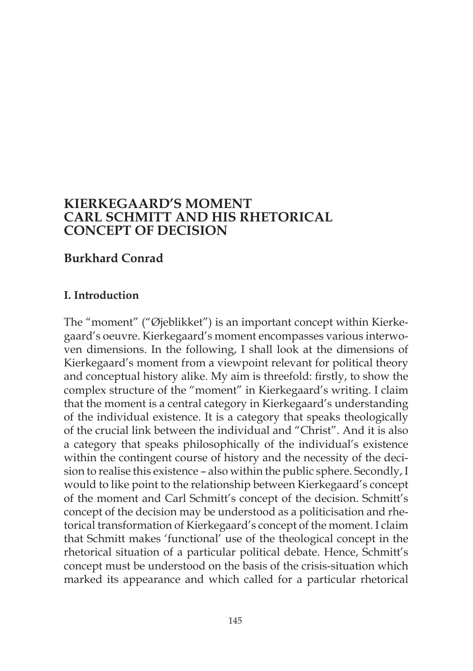# **KIERKEGAARD'S MOMENT CARL SCHMITT AND HIS RHETORICAL CONCEPT OF DECISION**

# **Burkhard Conrad**

## **I. Introduction**

The "moment" ("Øjeblikket") is an important concept within Kierkegaard's oeuvre. Kierkegaard's moment encompasses various interwoven dimensions. In the following, I shall look at the dimensions of Kierkegaard's moment from a viewpoint relevant for political theory and conceptual history alike. My aim is threefold: firstly, to show the complex structure of the "moment" in Kierkegaard's writing. I claim that the moment is a central category in Kierkegaard's understanding of the individual existence. It is a category that speaks theologically of the crucial link between the individual and "Christ". And it is also a category that speaks philosophically of the individual's existence within the contingent course of history and the necessity of the decision to realise this existence – also within the public sphere. Secondly, I would to like point to the relationship between Kierkegaard's concept of the moment and Carl Schmitt's concept of the decision. Schmitt's concept of the decision may be understood as a politicisation and rhetorical transformation of Kierkegaard's concept of the moment. I claim that Schmitt makes 'functional' use of the theological concept in the rhetorical situation of a particular political debate. Hence, Schmitt's concept must be understood on the basis of the crisis-situation which marked its appearance and which called for a particular rhetorical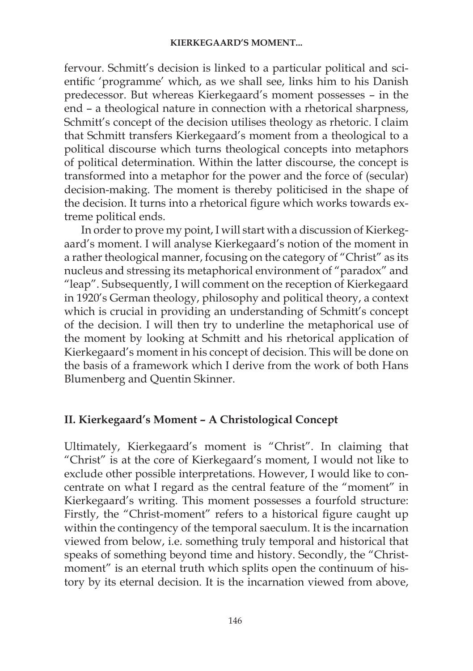fervour. Schmitt's decision is linked to a particular political and scientific 'programme' which, as we shall see, links him to his Danish predecessor. But whereas Kierkegaard's moment possesses – in the end – a theological nature in connection with a rhetorical sharpness, Schmitt's concept of the decision utilises theology as rhetoric. I claim that Schmitt transfers Kierkegaard's moment from a theological to a political discourse which turns theological concepts into metaphors of political determination. Within the latter discourse, the concept is transformed into a metaphor for the power and the force of (secular) decision-making. The moment is thereby politicised in the shape of the decision. It turns into a rhetorical figure which works towards extreme political ends.

In order to prove my point, I will start with a discussion of Kierkegaard's moment. I will analyse Kierkegaard's notion of the moment in a rather theological manner, focusing on the category of "Christ" as its nucleus and stressing its metaphorical environment of "paradox" and "leap". Subsequently, I will comment on the reception of Kierkegaard in 1920's German theology, philosophy and political theory, a context which is crucial in providing an understanding of Schmitt's concept of the decision. I will then try to underline the metaphorical use of the moment by looking at Schmitt and his rhetorical application of Kierkegaard's moment in his concept of decision. This will be done on the basis of a framework which I derive from the work of both Hans Blumenberg and Quentin Skinner.

## **II. Kierkegaard's Moment – A Christological Concept**

Ultimately, Kierkegaard's moment is "Christ". In claiming that "Christ" is at the core of Kierkegaard's moment, I would not like to exclude other possible interpretations. However, I would like to concentrate on what I regard as the central feature of the "moment" in Kierkegaard's writing. This moment possesses a fourfold structure: Firstly, the "Christ-moment" refers to a historical figure caught up within the contingency of the temporal saeculum. It is the incarnation viewed from below, i.e. something truly temporal and historical that speaks of something beyond time and history. Secondly, the "Christmoment" is an eternal truth which splits open the continuum of history by its eternal decision. It is the incarnation viewed from above,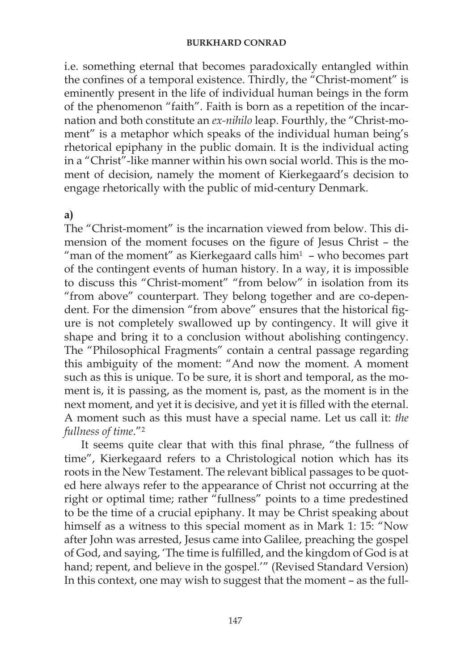i.e. something eternal that becomes paradoxically entangled within the confines of a temporal existence. Thirdly, the "Christ-moment" is eminently present in the life of individual human beings in the form of the phenomenon "faith". Faith is born as a repetition of the incarnation and both constitute an *ex-nihilo* leap. Fourthly, the "Christ-moment" is a metaphor which speaks of the individual human being's rhetorical epiphany in the public domain. It is the individual acting in a "Christ"-like manner within his own social world. This is the moment of decision, namely the moment of Kierkegaard's decision to engage rhetorically with the public of mid-century Denmark.

## **a)**

The "Christ-moment" is the incarnation viewed from below. This dimension of the moment focuses on the figure of Jesus Christ – the "man of the moment" as Kierkegaard calls  $him<sup>1</sup>$  – who becomes part of the contingent events of human history. In a way, it is impossible to discuss this "Christ-moment" "from below" in isolation from its "from above" counterpart. They belong together and are co-dependent. For the dimension "from above" ensures that the historical figure is not completely swallowed up by contingency. It will give it shape and bring it to a conclusion without abolishing contingency. The "Philosophical Fragments" contain a central passage regarding this ambiguity of the moment: "And now the moment. A moment such as this is unique. To be sure, it is short and temporal, as the moment is, it is passing, as the moment is, past, as the moment is in the next moment, and yet it is decisive, and yet it is filled with the eternal. A moment such as this must have a special name. Let us call it: *the fullness of time*."2

It seems quite clear that with this final phrase, "the fullness of time", Kierkegaard refers to a Christological notion which has its roots in the New Testament. The relevant biblical passages to be quoted here always refer to the appearance of Christ not occurring at the right or optimal time; rather "fullness" points to a time predestined to be the time of a crucial epiphany. It may be Christ speaking about himself as a witness to this special moment as in Mark 1: 15: "Now after John was arrested, Jesus came into Galilee, preaching the gospel of God, and saying, 'The time is fulfilled, and the kingdom of God is at hand; repent, and believe in the gospel.'" (Revised Standard Version) In this context, one may wish to suggest that the moment – as the full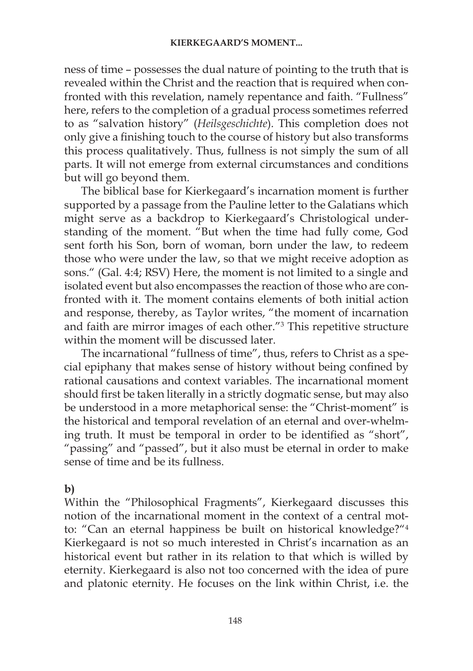ness of time – possesses the dual nature of pointing to the truth that is revealed within the Christ and the reaction that is required when confronted with this revelation, namely repentance and faith. "Fullness" here, refers to the completion of a gradual process sometimes referred to as "salvation history" (*Heilsgeschichte*). This completion does not only give a finishing touch to the course of history but also transforms this process qualitatively. Thus, fullness is not simply the sum of all parts. It will not emerge from external circumstances and conditions but will go beyond them.

The biblical base for Kierkegaard's incarnation moment is further supported by a passage from the Pauline letter to the Galatians which might serve as a backdrop to Kierkegaard's Christological understanding of the moment. "But when the time had fully come, God sent forth his Son, born of woman, born under the law, to redeem those who were under the law, so that we might receive adoption as sons." (Gal. 4:4; RSV) Here, the moment is not limited to a single and isolated event but also encompasses the reaction of those who are confronted with it. The moment contains elements of both initial action and response, thereby, as Taylor writes, "the moment of incarnation and faith are mirror images of each other."3 This repetitive structure within the moment will be discussed later.

The incarnational "fullness of time", thus, refers to Christ as a special epiphany that makes sense of history without being confined by rational causations and context variables. The incarnational moment should first be taken literally in a strictly dogmatic sense, but may also be understood in a more metaphorical sense: the "Christ-moment" is the historical and temporal revelation of an eternal and over-whelming truth. It must be temporal in order to be identified as "short", "passing" and "passed", but it also must be eternal in order to make sense of time and be its fullness.

## **b)**

Within the "Philosophical Fragments", Kierkegaard discusses this notion of the incarnational moment in the context of a central motto: "Can an eternal happiness be built on historical knowledge?"4 Kierkegaard is not so much interested in Christ's incarnation as an historical event but rather in its relation to that which is willed by eternity. Kierkegaard is also not too concerned with the idea of pure and platonic eternity. He focuses on the link within Christ, i.e. the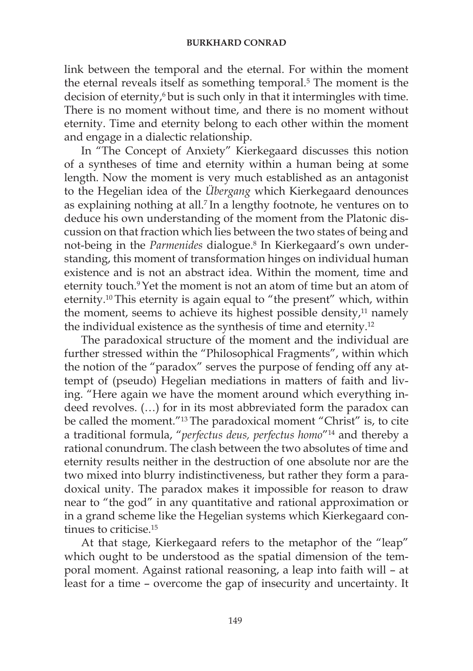link between the temporal and the eternal. For within the moment the eternal reveals itself as something temporal.<sup>5</sup> The moment is the decision of eternity,<sup>6</sup> but is such only in that it intermingles with time. There is no moment without time, and there is no moment without eternity. Time and eternity belong to each other within the moment and engage in a dialectic relationship.

In "The Concept of Anxiety" Kierkegaard discusses this notion of a syntheses of time and eternity within a human being at some length. Now the moment is very much established as an antagonist to the Hegelian idea of the *Übergang* which Kierkegaard denounces as explaining nothing at all.7 In a lengthy footnote, he ventures on to deduce his own understanding of the moment from the Platonic discussion on that fraction which lies between the two states of being and not-being in the *Parmenides* dialogue.8 In Kierkegaard's own understanding, this moment of transformation hinges on individual human existence and is not an abstract idea. Within the moment, time and eternity touch.9 Yet the moment is not an atom of time but an atom of eternity.10 This eternity is again equal to "the present" which, within the moment, seems to achieve its highest possible density,<sup>11</sup> namely the individual existence as the synthesis of time and eternity.12

The paradoxical structure of the moment and the individual are further stressed within the "Philosophical Fragments", within which the notion of the "paradox" serves the purpose of fending off any attempt of (pseudo) Hegelian mediations in matters of faith and living. "Here again we have the moment around which everything indeed revolves. (…) for in its most abbreviated form the paradox can be called the moment."13 The paradoxical moment "Christ" is, to cite a traditional formula, "*perfectus deus, perfectus homo*"14 and thereby a rational conundrum. The clash between the two absolutes of time and eternity results neither in the destruction of one absolute nor are the two mixed into blurry indistinctiveness, but rather they form a paradoxical unity. The paradox makes it impossible for reason to draw near to "the god" in any quantitative and rational approximation or in a grand scheme like the Hegelian systems which Kierkegaard continues to criticise.15

At that stage, Kierkegaard refers to the metaphor of the "leap" which ought to be understood as the spatial dimension of the temporal moment. Against rational reasoning, a leap into faith will – at least for a time – overcome the gap of insecurity and uncertainty. It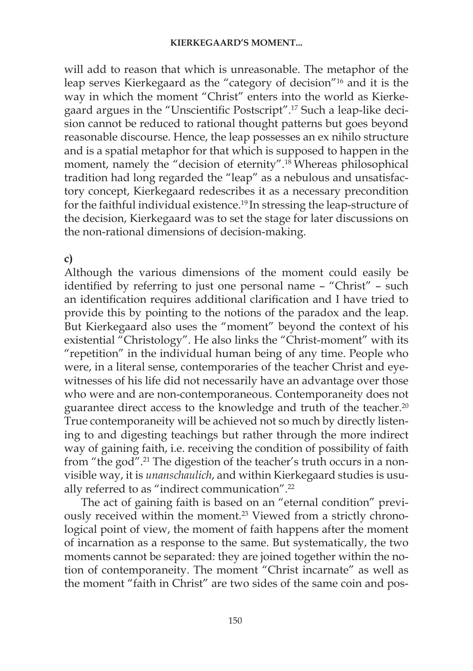will add to reason that which is unreasonable. The metaphor of the leap serves Kierkegaard as the "category of decision"16 and it is the way in which the moment "Christ" enters into the world as Kierkegaard argues in the "Unscientific Postscript".17 Such a leap-like decision cannot be reduced to rational thought patterns but goes beyond reasonable discourse. Hence, the leap possesses an ex nihilo structure and is a spatial metaphor for that which is supposed to happen in the moment, namely the "decision of eternity".18 Whereas philosophical tradition had long regarded the "leap" as a nebulous and unsatisfactory concept, Kierkegaard redescribes it as a necessary precondition for the faithful individual existence.19 In stressing the leap-structure of the decision, Kierkegaard was to set the stage for later discussions on the non-rational dimensions of decision-making.

## **c)**

Although the various dimensions of the moment could easily be identified by referring to just one personal name – "Christ" – such an identification requires additional clarification and I have tried to provide this by pointing to the notions of the paradox and the leap. But Kierkegaard also uses the "moment" beyond the context of his existential "Christology". He also links the "Christ-moment" with its "repetition" in the individual human being of any time. People who were, in a literal sense, contemporaries of the teacher Christ and eyewitnesses of his life did not necessarily have an advantage over those who were and are non-contemporaneous. Contemporaneity does not guarantee direct access to the knowledge and truth of the teacher.<sup>20</sup> True contemporaneity will be achieved not so much by directly listening to and digesting teachings but rather through the more indirect way of gaining faith, i.e. receiving the condition of possibility of faith from "the god".<sup>21</sup> The digestion of the teacher's truth occurs in a nonvisible way, it is *unanschaulich*, and within Kierkegaard studies is usually referred to as "indirect communication".22

The act of gaining faith is based on an "eternal condition" previously received within the moment.23 Viewed from a strictly chronological point of view, the moment of faith happens after the moment of incarnation as a response to the same. But systematically, the two moments cannot be separated: they are joined together within the notion of contemporaneity. The moment "Christ incarnate" as well as the moment "faith in Christ" are two sides of the same coin and pos-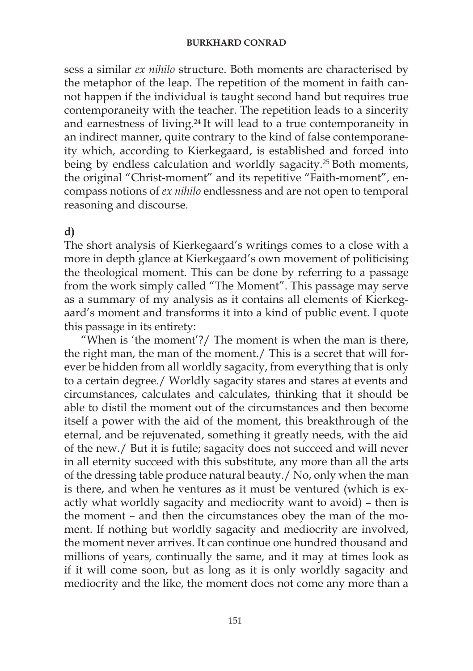sess a similar *ex nihilo* structure. Both moments are characterised by the metaphor of the leap. The repetition of the moment in faith cannot happen if the individual is taught second hand but requires true contemporaneity with the teacher. The repetition leads to a sincerity and earnestness of living.<sup>24</sup> It will lead to a true contemporaneity in an indirect manner, quite contrary to the kind of false contemporaneity which, according to Kierkegaard, is established and forced into being by endless calculation and worldly sagacity.25 Both moments, the original "Christ-moment" and its repetitive "Faith-moment", encompass notions of *ex nihilo* endlessness and are not open to temporal reasoning and discourse.

### **d)**

The short analysis of Kierkegaard's writings comes to a close with a more in depth glance at Kierkegaard's own movement of politicising the theological moment. This can be done by referring to a passage from the work simply called "The Moment". This passage may serve as a summary of my analysis as it contains all elements of Kierkegaard's moment and transforms it into a kind of public event. I quote this passage in its entirety:

"When is 'the moment'?/ The moment is when the man is there, the right man, the man of the moment./ This is a secret that will forever be hidden from all worldly sagacity, from everything that is only to a certain degree./ Worldly sagacity stares and stares at events and circumstances, calculates and calculates, thinking that it should be able to distil the moment out of the circumstances and then become itself a power with the aid of the moment, this breakthrough of the eternal, and be rejuvenated, something it greatly needs, with the aid of the new./ But it is futile; sagacity does not succeed and will never in all eternity succeed with this substitute, any more than all the arts of the dressing table produce natural beauty./ No, only when the man is there, and when he ventures as it must be ventured (which is exactly what worldly sagacity and mediocrity want to avoid) – then is the moment – and then the circumstances obey the man of the moment. If nothing but worldly sagacity and mediocrity are involved, the moment never arrives. It can continue one hundred thousand and millions of years, continually the same, and it may at times look as if it will come soon, but as long as it is only worldly sagacity and mediocrity and the like, the moment does not come any more than a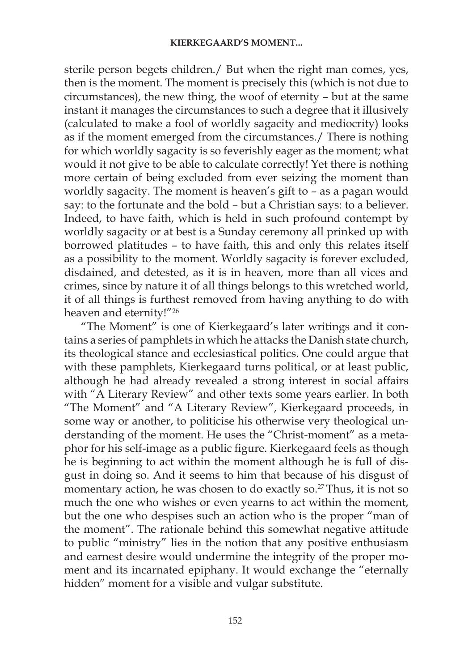#### **KIERKEGAARD'S MOMENT...**

sterile person begets children./ But when the right man comes, yes, then is the moment. The moment is precisely this (which is not due to circumstances), the new thing, the woof of eternity – but at the same instant it manages the circumstances to such a degree that it illusively (calculated to make a fool of worldly sagacity and mediocrity) looks as if the moment emerged from the circumstances./ There is nothing for which worldly sagacity is so feverishly eager as the moment; what would it not give to be able to calculate correctly! Yet there is nothing more certain of being excluded from ever seizing the moment than worldly sagacity. The moment is heaven's gift to – as a pagan would say: to the fortunate and the bold – but a Christian says: to a believer. Indeed, to have faith, which is held in such profound contempt by worldly sagacity or at best is a Sunday ceremony all prinked up with borrowed platitudes – to have faith, this and only this relates itself as a possibility to the moment. Worldly sagacity is forever excluded, disdained, and detested, as it is in heaven, more than all vices and crimes, since by nature it of all things belongs to this wretched world, it of all things is furthest removed from having anything to do with heaven and eternity!"26

"The Moment" is one of Kierkegaard's later writings and it contains a series of pamphlets in which he attacks the Danish state church, its theological stance and ecclesiastical politics. One could argue that with these pamphlets, Kierkegaard turns political, or at least public, although he had already revealed a strong interest in social affairs with "A Literary Review" and other texts some years earlier. In both "The Moment" and "A Literary Review", Kierkegaard proceeds, in some way or another, to politicise his otherwise very theological understanding of the moment. He uses the "Christ-moment" as a metaphor for his self-image as a public figure. Kierkegaard feels as though he is beginning to act within the moment although he is full of disgust in doing so. And it seems to him that because of his disgust of momentary action, he was chosen to do exactly so.<sup>27</sup> Thus, it is not so much the one who wishes or even yearns to act within the moment, but the one who despises such an action who is the proper "man of the moment". The rationale behind this somewhat negative attitude to public "ministry" lies in the notion that any positive enthusiasm and earnest desire would undermine the integrity of the proper moment and its incarnated epiphany. It would exchange the "eternally hidden" moment for a visible and vulgar substitute.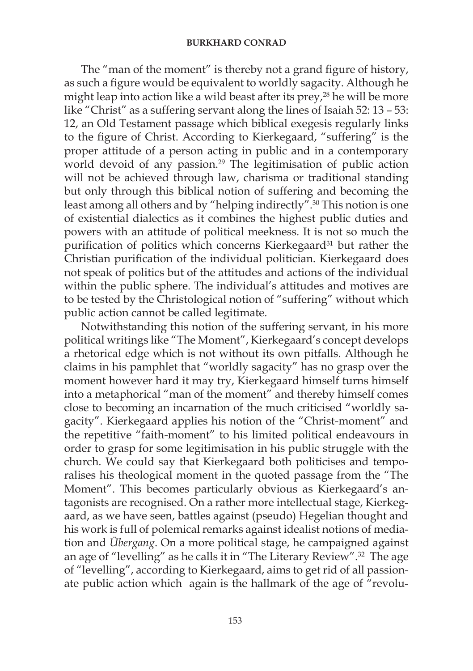The "man of the moment" is thereby not a grand figure of history, as such a figure would be equivalent to worldly sagacity. Although he might leap into action like a wild beast after its prey,<sup>28</sup> he will be more like "Christ" as a suffering servant along the lines of Isaiah 52: 13 – 53: 12, an Old Testament passage which biblical exegesis regularly links to the figure of Christ. According to Kierkegaard, "suffering" is the proper attitude of a person acting in public and in a contemporary world devoid of any passion.<sup>29</sup> The legitimisation of public action will not be achieved through law, charisma or traditional standing but only through this biblical notion of suffering and becoming the least among all others and by "helping indirectly".30 This notion is one of existential dialectics as it combines the highest public duties and powers with an attitude of political meekness. It is not so much the purification of politics which concerns Kierkegaard<sup>31</sup> but rather the Christian purification of the individual politician. Kierkegaard does not speak of politics but of the attitudes and actions of the individual within the public sphere. The individual's attitudes and motives are to be tested by the Christological notion of "suffering" without which public action cannot be called legitimate.

Notwithstanding this notion of the suffering servant, in his more political writings like "The Moment", Kierkegaard's concept develops a rhetorical edge which is not without its own pitfalls. Although he claims in his pamphlet that "worldly sagacity" has no grasp over the moment however hard it may try, Kierkegaard himself turns himself into a metaphorical "man of the moment" and thereby himself comes close to becoming an incarnation of the much criticised "worldly sagacity". Kierkegaard applies his notion of the "Christ-moment" and the repetitive "faith-moment" to his limited political endeavours in order to grasp for some legitimisation in his public struggle with the church. We could say that Kierkegaard both politicises and temporalises his theological moment in the quoted passage from the "The Moment". This becomes particularly obvious as Kierkegaard's antagonists are recognised. On a rather more intellectual stage, Kierkegaard, as we have seen, battles against (pseudo) Hegelian thought and his work is full of polemical remarks against idealist notions of mediation and *Übergang*. On a more political stage, he campaigned against an age of "levelling" as he calls it in "The Literary Review".32 The age of "levelling", according to Kierkegaard, aims to get rid of all passionate public action which again is the hallmark of the age of "revolu-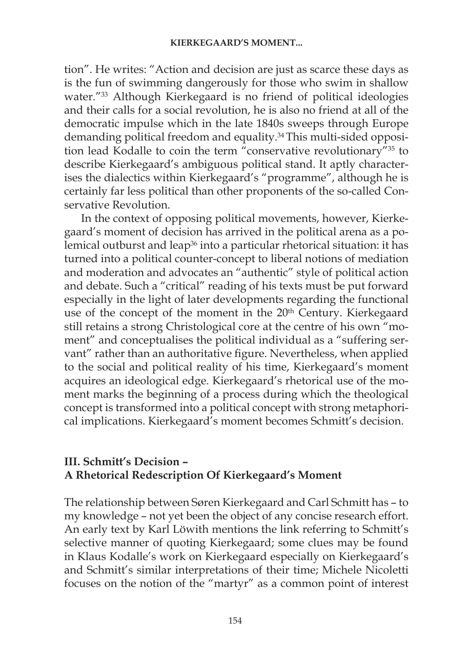tion". He writes: "Action and decision are just as scarce these days as is the fun of swimming dangerously for those who swim in shallow water."33 Although Kierkegaard is no friend of political ideologies and their calls for a social revolution, he is also no friend at all of the democratic impulse which in the late 1840s sweeps through Europe demanding political freedom and equality.34 This multi-sided opposition lead Kodalle to coin the term "conservative revolutionary"35 to describe Kierkegaard's ambiguous political stand. It aptly characterises the dialectics within Kierkegaard's "programme", although he is certainly far less political than other proponents of the so-called Conservative Revolution.

In the context of opposing political movements, however, Kierkegaard's moment of decision has arrived in the political arena as a polemical outburst and leap<sup>36</sup> into a particular rhetorical situation: it has turned into a political counter-concept to liberal notions of mediation and moderation and advocates an "authentic" style of political action and debate. Such a "critical" reading of his texts must be put forward especially in the light of later developments regarding the functional use of the concept of the moment in the 20<sup>th</sup> Century. Kierkegaard still retains a strong Christological core at the centre of his own "moment" and conceptualises the political individual as a "suffering servant" rather than an authoritative figure. Nevertheless, when applied to the social and political reality of his time, Kierkegaard's moment acquires an ideological edge. Kierkegaard's rhetorical use of the moment marks the beginning of a process during which the theological concept is transformed into a political concept with strong metaphorical implications. Kierkegaard's moment becomes Schmitt's decision.

# **III. Schmitt's Decision – A Rhetorical Redescription Of Kierkegaard's Moment**

The relationship between Søren Kierkegaard and Carl Schmitt has – to my knowledge – not yet been the object of any concise research effort. An early text by Karl Löwith mentions the link referring to Schmitt's selective manner of quoting Kierkegaard; some clues may be found in Klaus Kodalle's work on Kierkegaard especially on Kierkegaard's and Schmitt's similar interpretations of their time; Michele Nicoletti focuses on the notion of the "martyr" as a common point of interest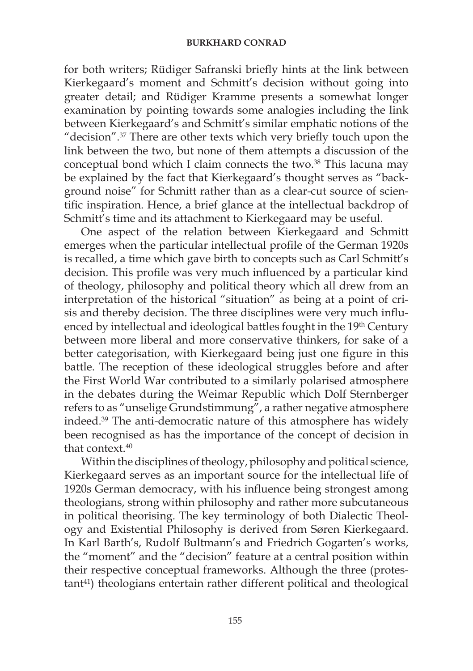for both writers; Rüdiger Safranski briefly hints at the link between Kierkegaard's moment and Schmitt's decision without going into greater detail; and Rüdiger Kramme presents a somewhat longer examination by pointing towards some analogies including the link between Kierkegaard's and Schmitt's similar emphatic notions of the "decision".37 There are other texts which very briefly touch upon the link between the two, but none of them attempts a discussion of the conceptual bond which I claim connects the two.38 This lacuna may be explained by the fact that Kierkegaard's thought serves as "background noise" for Schmitt rather than as a clear-cut source of scientific inspiration. Hence, a brief glance at the intellectual backdrop of Schmitt's time and its attachment to Kierkegaard may be useful.

One aspect of the relation between Kierkegaard and Schmitt emerges when the particular intellectual profile of the German 1920s is recalled, a time which gave birth to concepts such as Carl Schmitt's decision. This profile was very much influenced by a particular kind of theology, philosophy and political theory which all drew from an interpretation of the historical "situation" as being at a point of crisis and thereby decision. The three disciplines were very much influenced by intellectual and ideological battles fought in the 19th Century between more liberal and more conservative thinkers, for sake of a better categorisation, with Kierkegaard being just one figure in this battle. The reception of these ideological struggles before and after the First World War contributed to a similarly polarised atmosphere in the debates during the Weimar Republic which Dolf Sternberger refers to as "unselige Grundstimmung", a rather negative atmosphere indeed.39 The anti-democratic nature of this atmosphere has widely been recognised as has the importance of the concept of decision in that context.40

Within the disciplines of theology, philosophy and political science, Kierkegaard serves as an important source for the intellectual life of 1920s German democracy, with his influence being strongest among theologians, strong within philosophy and rather more subcutaneous in political theorising. The key terminology of both Dialectic Theology and Existential Philosophy is derived from Søren Kierkegaard. In Karl Barth's, Rudolf Bultmann's and Friedrich Gogarten's works, the "moment" and the "decision" feature at a central position within their respective conceptual frameworks. Although the three (protestant41) theologians entertain rather different political and theological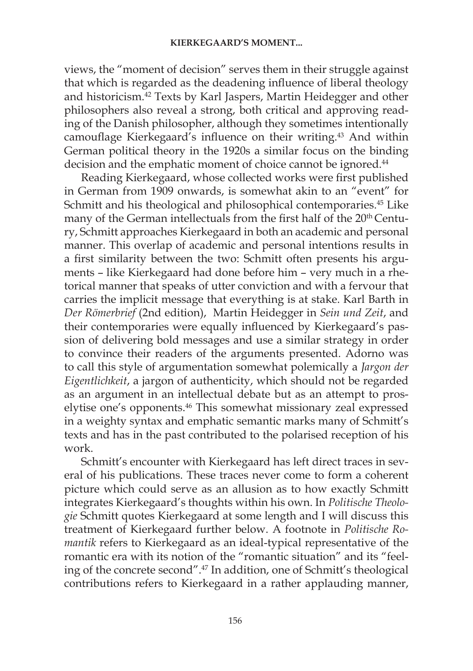#### **KIERKEGAARD'S MOMENT...**

views, the "moment of decision" serves them in their struggle against that which is regarded as the deadening influence of liberal theology and historicism.42 Texts by Karl Jaspers, Martin Heidegger and other philosophers also reveal a strong, both critical and approving reading of the Danish philosopher, although they sometimes intentionally camouflage Kierkegaard's influence on their writing.43 And within German political theory in the 1920s a similar focus on the binding decision and the emphatic moment of choice cannot be ignored.<sup>44</sup>

Reading Kierkegaard, whose collected works were first published in German from 1909 onwards, is somewhat akin to an "event" for Schmitt and his theological and philosophical contemporaries.<sup>45</sup> Like many of the German intellectuals from the first half of the 20<sup>th</sup> Century, Schmitt approaches Kierkegaard in both an academic and personal manner. This overlap of academic and personal intentions results in a first similarity between the two: Schmitt often presents his arguments – like Kierkegaard had done before him – very much in a rhetorical manner that speaks of utter conviction and with a fervour that carries the implicit message that everything is at stake. Karl Barth in *Der Römerbrief* (2nd edition), Martin Heidegger in *Sein und Zeit*, and their contemporaries were equally influenced by Kierkegaard's passion of delivering bold messages and use a similar strategy in order to convince their readers of the arguments presented. Adorno was to call this style of argumentation somewhat polemically a *Jargon der Eigentlichkeit*, a jargon of authenticity, which should not be regarded as an argument in an intellectual debate but as an attempt to proselytise one's opponents.46 This somewhat missionary zeal expressed in a weighty syntax and emphatic semantic marks many of Schmitt's texts and has in the past contributed to the polarised reception of his work.

Schmitt's encounter with Kierkegaard has left direct traces in several of his publications. These traces never come to form a coherent picture which could serve as an allusion as to how exactly Schmitt integrates Kierkegaard's thoughts within his own. In *Politische Theologie* Schmitt quotes Kierkegaard at some length and I will discuss this treatment of Kierkegaard further below. A footnote in *Politische Romantik* refers to Kierkegaard as an ideal-typical representative of the romantic era with its notion of the "romantic situation" and its "feeling of the concrete second".47 In addition, one of Schmitt's theological contributions refers to Kierkegaard in a rather applauding manner,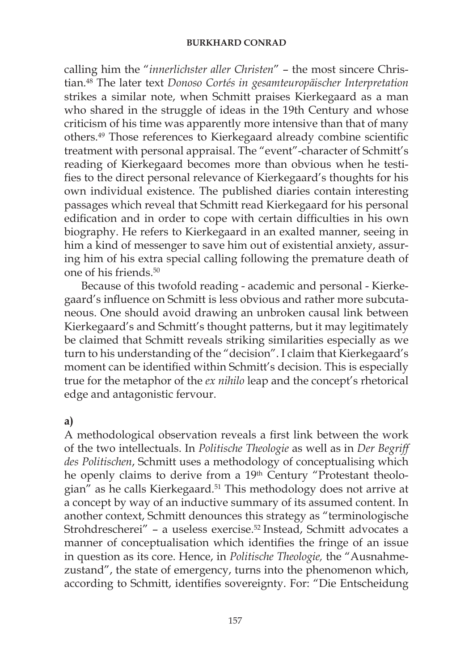calling him the "*innerlichster aller Christen*" – the most sincere Christian.48 The later text *Donoso Cortés in gesamteuropäischer Interpretation* strikes a similar note, when Schmitt praises Kierkegaard as a man who shared in the struggle of ideas in the 19th Century and whose criticism of his time was apparently more intensive than that of many others.49 Those references to Kierkegaard already combine scientific treatment with personal appraisal. The "event"-character of Schmitt's reading of Kierkegaard becomes more than obvious when he testifies to the direct personal relevance of Kierkegaard's thoughts for his own individual existence. The published diaries contain interesting passages which reveal that Schmitt read Kierkegaard for his personal edification and in order to cope with certain difficulties in his own biography. He refers to Kierkegaard in an exalted manner, seeing in him a kind of messenger to save him out of existential anxiety, assuring him of his extra special calling following the premature death of one of his friends.50

Because of this twofold reading - academic and personal - Kierkegaard's influence on Schmitt is less obvious and rather more subcutaneous. One should avoid drawing an unbroken causal link between Kierkegaard's and Schmitt's thought patterns, but it may legitimately be claimed that Schmitt reveals striking similarities especially as we turn to his understanding of the "decision". I claim that Kierkegaard's moment can be identified within Schmitt's decision. This is especially true for the metaphor of the *ex nihilo* leap and the concept's rhetorical edge and antagonistic fervour.

**a)**

A methodological observation reveals a first link between the work of the two intellectuals. In *Politische Theologie* as well as in *Der Begriff des Politischen*, Schmitt uses a methodology of conceptualising which he openly claims to derive from a 19<sup>th</sup> Century "Protestant theologian" as he calls Kierkegaard.51 This methodology does not arrive at a concept by way of an inductive summary of its assumed content. In another context, Schmitt denounces this strategy as "terminologische Strohdrescherei" – a useless exercise.52 Instead, Schmitt advocates a manner of conceptualisation which identifies the fringe of an issue in question as its core. Hence, in *Politische Theologie,* the "Ausnahmezustand", the state of emergency, turns into the phenomenon which, according to Schmitt, identifies sovereignty. For: "Die Entscheidung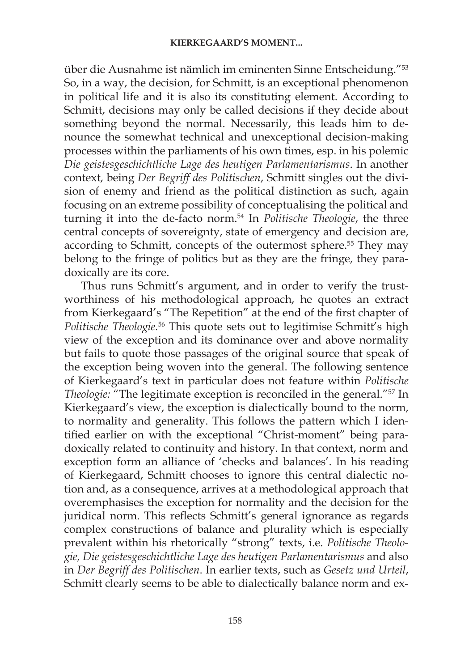über die Ausnahme ist nämlich im eminenten Sinne Entscheidung."53 So, in a way, the decision, for Schmitt, is an exceptional phenomenon in political life and it is also its constituting element. According to Schmitt, decisions may only be called decisions if they decide about something beyond the normal. Necessarily, this leads him to denounce the somewhat technical and unexceptional decision-making processes within the parliaments of his own times, esp. in his polemic *Die geistesgeschichtliche Lage des heutigen Parlamentarismus*. In another context, being *Der Begriff des Politischen*, Schmitt singles out the division of enemy and friend as the political distinction as such, again focusing on an extreme possibility of conceptualising the political and turning it into the de-facto norm.54 In *Politische Theologie*, the three central concepts of sovereignty, state of emergency and decision are, according to Schmitt, concepts of the outermost sphere.<sup>55</sup> They may belong to the fringe of politics but as they are the fringe, they paradoxically are its core.

Thus runs Schmitt's argument, and in order to verify the trustworthiness of his methodological approach, he quotes an extract from Kierkegaard's "The Repetition" at the end of the first chapter of *Politische Theologie.*56 This quote sets out to legitimise Schmitt's high view of the exception and its dominance over and above normality but fails to quote those passages of the original source that speak of the exception being woven into the general. The following sentence of Kierkegaard's text in particular does not feature within *Politische Theologie:* "The legitimate exception is reconciled in the general."<sup>57</sup> In Kierkegaard's view, the exception is dialectically bound to the norm, to normality and generality. This follows the pattern which I identified earlier on with the exceptional "Christ-moment" being paradoxically related to continuity and history. In that context, norm and exception form an alliance of 'checks and balances'. In his reading of Kierkegaard, Schmitt chooses to ignore this central dialectic notion and, as a consequence, arrives at a methodological approach that overemphasises the exception for normality and the decision for the juridical norm. This reflects Schmitt's general ignorance as regards complex constructions of balance and plurality which is especially prevalent within his rhetorically "strong" texts, i.e. *Politische Theologie, Die geistesgeschichtliche Lage des heutigen Parlamentarismus* and also in *Der Begriff des Politischen*. In earlier texts, such as *Gesetz und Urteil*, Schmitt clearly seems to be able to dialectically balance norm and ex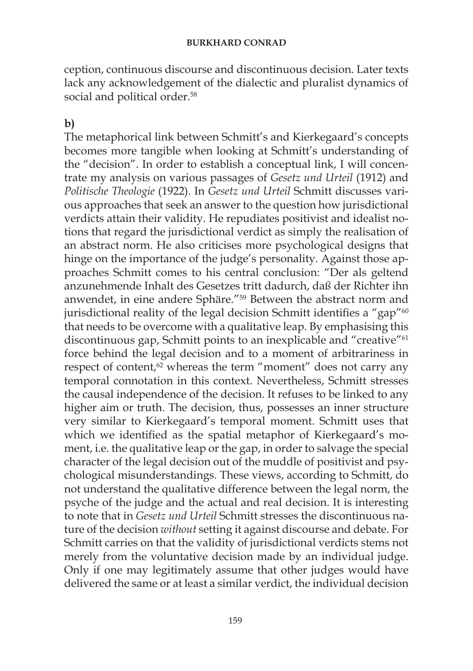ception, continuous discourse and discontinuous decision. Later texts lack any acknowledgement of the dialectic and pluralist dynamics of social and political order.<sup>58</sup>

## **b)**

The metaphorical link between Schmitt's and Kierkegaard's concepts becomes more tangible when looking at Schmitt's understanding of the "decision". In order to establish a conceptual link, I will concentrate my analysis on various passages of *Gesetz und Urteil* (1912) and *Politische Theologie* (1922). In *Gesetz und Urteil* Schmitt discusses various approaches that seek an answer to the question how jurisdictional verdicts attain their validity. He repudiates positivist and idealist notions that regard the jurisdictional verdict as simply the realisation of an abstract norm. He also criticises more psychological designs that hinge on the importance of the judge's personality. Against those approaches Schmitt comes to his central conclusion: "Der als geltend anzunehmende Inhalt des Gesetzes tritt dadurch, daß der Richter ihn anwendet, in eine andere Sphäre."59 Between the abstract norm and jurisdictional reality of the legal decision Schmitt identifies a "gap"<sup>60</sup> that needs to be overcome with a qualitative leap. By emphasising this discontinuous gap, Schmitt points to an inexplicable and "creative"<sup>61</sup> force behind the legal decision and to a moment of arbitrariness in respect of content,<sup>62</sup> whereas the term "moment" does not carry any temporal connotation in this context. Nevertheless, Schmitt stresses the causal independence of the decision. It refuses to be linked to any higher aim or truth. The decision, thus, possesses an inner structure very similar to Kierkegaard's temporal moment. Schmitt uses that which we identified as the spatial metaphor of Kierkegaard's moment, i.e. the qualitative leap or the gap, in order to salvage the special character of the legal decision out of the muddle of positivist and psychological misunderstandings. These views, according to Schmitt, do not understand the qualitative difference between the legal norm, the psyche of the judge and the actual and real decision. It is interesting to note that in *Gesetz und Urteil* Schmitt stresses the discontinuous nature of the decision *without* setting it against discourse and debate. For Schmitt carries on that the validity of jurisdictional verdicts stems not merely from the voluntative decision made by an individual judge. Only if one may legitimately assume that other judges would have delivered the same or at least a similar verdict, the individual decision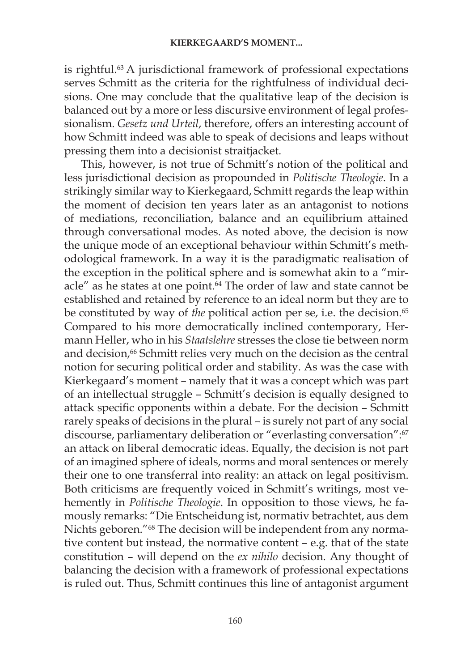is rightful.<sup>63</sup> A jurisdictional framework of professional expectations serves Schmitt as the criteria for the rightfulness of individual decisions. One may conclude that the qualitative leap of the decision is balanced out by a more or less discursive environment of legal professionalism. *Gesetz und Urteil*, therefore, offers an interesting account of how Schmitt indeed was able to speak of decisions and leaps without pressing them into a decisionist straitjacket.

This, however, is not true of Schmitt's notion of the political and less jurisdictional decision as propounded in *Politische Theologie*. In a strikingly similar way to Kierkegaard, Schmitt regards the leap within the moment of decision ten years later as an antagonist to notions of mediations, reconciliation, balance and an equilibrium attained through conversational modes. As noted above, the decision is now the unique mode of an exceptional behaviour within Schmitt's methodological framework. In a way it is the paradigmatic realisation of the exception in the political sphere and is somewhat akin to a "miracle" as he states at one point.<sup>64</sup> The order of law and state cannot be established and retained by reference to an ideal norm but they are to be constituted by way of *the* political action per se, i.e. the decision.<sup>65</sup> Compared to his more democratically inclined contemporary, Hermann Heller, who in his *Staatslehre* stresses the close tie between norm and decision,<sup>66</sup> Schmitt relies very much on the decision as the central notion for securing political order and stability. As was the case with Kierkegaard's moment – namely that it was a concept which was part of an intellectual struggle – Schmitt's decision is equally designed to attack specific opponents within a debate. For the decision – Schmitt rarely speaks of decisions in the plural – is surely not part of any social discourse, parliamentary deliberation or "everlasting conversation":67 an attack on liberal democratic ideas. Equally, the decision is not part of an imagined sphere of ideals, norms and moral sentences or merely their one to one transferral into reality: an attack on legal positivism. Both criticisms are frequently voiced in Schmitt's writings, most vehemently in *Politische Theologie*. In opposition to those views, he famously remarks: "Die Entscheidung ist, normativ betrachtet, aus dem Nichts geboren."68 The decision will be independent from any normative content but instead, the normative content – e.g. that of the state constitution – will depend on the *ex nihilo* decision. Any thought of balancing the decision with a framework of professional expectations is ruled out. Thus, Schmitt continues this line of antagonist argument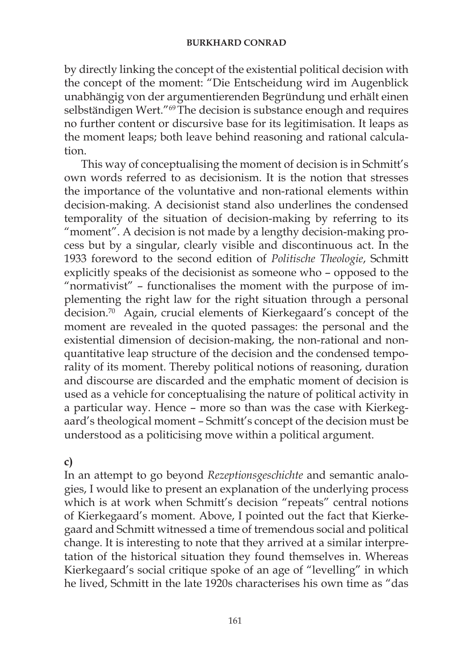by directly linking the concept of the existential political decision with the concept of the moment: "Die Entscheidung wird im Augenblick unabhängig von der argumentierenden Begründung und erhält einen selbständigen Wert."<sup>69</sup> The decision is substance enough and requires no further content or discursive base for its legitimisation. It leaps as the moment leaps; both leave behind reasoning and rational calculation.

This way of conceptualising the moment of decision is in Schmitt's own words referred to as decisionism. It is the notion that stresses the importance of the voluntative and non-rational elements within decision-making. A decisionist stand also underlines the condensed temporality of the situation of decision-making by referring to its "moment". A decision is not made by a lengthy decision-making process but by a singular, clearly visible and discontinuous act. In the 1933 foreword to the second edition of *Politische Theologie*, Schmitt explicitly speaks of the decisionist as someone who – opposed to the "normativist" – functionalises the moment with the purpose of implementing the right law for the right situation through a personal decision.70 Again, crucial elements of Kierkegaard's concept of the moment are revealed in the quoted passages: the personal and the existential dimension of decision-making, the non-rational and nonquantitative leap structure of the decision and the condensed temporality of its moment. Thereby political notions of reasoning, duration and discourse are discarded and the emphatic moment of decision is used as a vehicle for conceptualising the nature of political activity in a particular way. Hence – more so than was the case with Kierkegaard's theological moment – Schmitt's concept of the decision must be understood as a politicising move within a political argument.

# **c)**

In an attempt to go beyond *Rezeptionsgeschichte* and semantic analogies, I would like to present an explanation of the underlying process which is at work when Schmitt's decision "repeats" central notions of Kierkegaard's moment. Above, I pointed out the fact that Kierkegaard and Schmitt witnessed a time of tremendous social and political change. It is interesting to note that they arrived at a similar interpretation of the historical situation they found themselves in. Whereas Kierkegaard's social critique spoke of an age of "levelling" in which he lived, Schmitt in the late 1920s characterises his own time as "das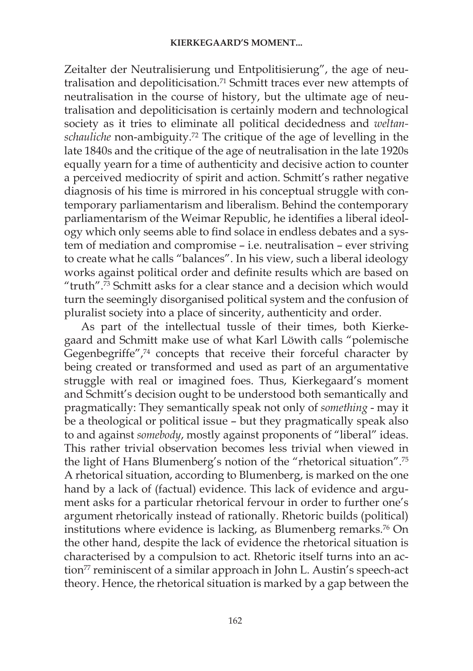Zeitalter der Neutralisierung und Entpolitisierung", the age of neutralisation and depoliticisation.<sup>71</sup> Schmitt traces ever new attempts of neutralisation in the course of history, but the ultimate age of neutralisation and depoliticisation is certainly modern and technological society as it tries to eliminate all political decidedness and *weltanschauliche* non-ambiguity.72 The critique of the age of levelling in the late 1840s and the critique of the age of neutralisation in the late 1920s equally yearn for a time of authenticity and decisive action to counter a perceived mediocrity of spirit and action. Schmitt's rather negative diagnosis of his time is mirrored in his conceptual struggle with contemporary parliamentarism and liberalism. Behind the contemporary parliamentarism of the Weimar Republic, he identifies a liberal ideology which only seems able to find solace in endless debates and a system of mediation and compromise – i.e. neutralisation – ever striving to create what he calls "balances". In his view, such a liberal ideology works against political order and definite results which are based on "truth".73 Schmitt asks for a clear stance and a decision which would turn the seemingly disorganised political system and the confusion of pluralist society into a place of sincerity, authenticity and order.

As part of the intellectual tussle of their times, both Kierkegaard and Schmitt make use of what Karl Löwith calls "polemische Gegenbegriffe", $74$  concepts that receive their forceful character by being created or transformed and used as part of an argumentative struggle with real or imagined foes. Thus, Kierkegaard's moment and Schmitt's decision ought to be understood both semantically and pragmatically: They semantically speak not only of *something* - may it be a theological or political issue – but they pragmatically speak also to and against *somebody*, mostly against proponents of "liberal" ideas. This rather trivial observation becomes less trivial when viewed in the light of Hans Blumenberg's notion of the "rhetorical situation".75 A rhetorical situation, according to Blumenberg, is marked on the one hand by a lack of (factual) evidence. This lack of evidence and argument asks for a particular rhetorical fervour in order to further one's argument rhetorically instead of rationally. Rhetoric builds (political) institutions where evidence is lacking, as Blumenberg remarks.<sup>76</sup> On the other hand, despite the lack of evidence the rhetorical situation is characterised by a compulsion to act. Rhetoric itself turns into an action<sup>77</sup> reminiscent of a similar approach in John L. Austin's speech-act theory. Hence, the rhetorical situation is marked by a gap between the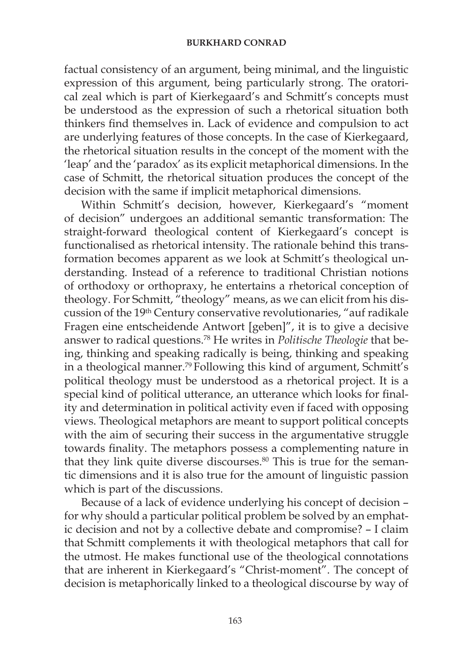factual consistency of an argument, being minimal, and the linguistic expression of this argument, being particularly strong. The oratorical zeal which is part of Kierkegaard's and Schmitt's concepts must be understood as the expression of such a rhetorical situation both thinkers find themselves in. Lack of evidence and compulsion to act are underlying features of those concepts. In the case of Kierkegaard, the rhetorical situation results in the concept of the moment with the 'leap' and the 'paradox' as its explicit metaphorical dimensions. In the case of Schmitt, the rhetorical situation produces the concept of the decision with the same if implicit metaphorical dimensions.

Within Schmitt's decision, however, Kierkegaard's "moment of decision" undergoes an additional semantic transformation: The straight-forward theological content of Kierkegaard's concept is functionalised as rhetorical intensity. The rationale behind this transformation becomes apparent as we look at Schmitt's theological understanding. Instead of a reference to traditional Christian notions of orthodoxy or orthopraxy, he entertains a rhetorical conception of theology. For Schmitt, "theology" means, as we can elicit from his discussion of the 19th Century conservative revolutionaries, "auf radikale Fragen eine entscheidende Antwort [geben]", it is to give a decisive answer to radical questions.78 He writes in *Politische Theologie* that being, thinking and speaking radically is being, thinking and speaking in a theological manner.79 Following this kind of argument, Schmitt's political theology must be understood as a rhetorical project. It is a special kind of political utterance, an utterance which looks for finality and determination in political activity even if faced with opposing views. Theological metaphors are meant to support political concepts with the aim of securing their success in the argumentative struggle towards finality. The metaphors possess a complementing nature in that they link quite diverse discourses.<sup>80</sup> This is true for the semantic dimensions and it is also true for the amount of linguistic passion which is part of the discussions.

Because of a lack of evidence underlying his concept of decision – for why should a particular political problem be solved by an emphatic decision and not by a collective debate and compromise? – I claim that Schmitt complements it with theological metaphors that call for the utmost. He makes functional use of the theological connotations that are inherent in Kierkegaard's "Christ-moment". The concept of decision is metaphorically linked to a theological discourse by way of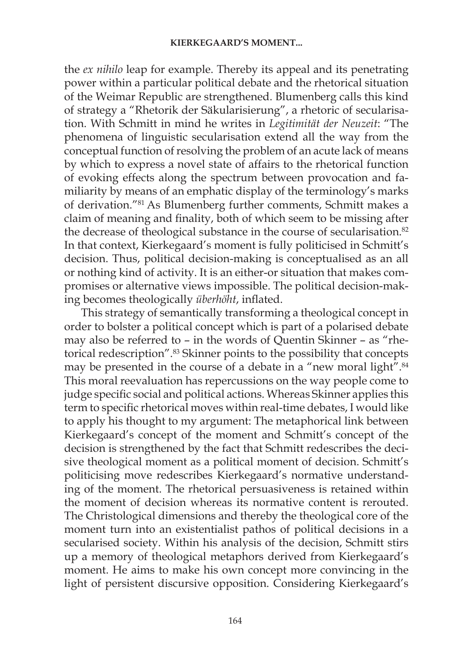the *ex nihilo* leap for example. Thereby its appeal and its penetrating power within a particular political debate and the rhetorical situation of the Weimar Republic are strengthened. Blumenberg calls this kind of strategy a "Rhetorik der Säkularisierung", a rhetoric of secularisation. With Schmitt in mind he writes in *Legitimität der Neuzeit*: "The phenomena of linguistic secularisation extend all the way from the conceptual function of resolving the problem of an acute lack of means by which to express a novel state of affairs to the rhetorical function of evoking effects along the spectrum between provocation and familiarity by means of an emphatic display of the terminology's marks of derivation."81 As Blumenberg further comments, Schmitt makes a claim of meaning and finality, both of which seem to be missing after the decrease of theological substance in the course of secularisation.<sup>82</sup> In that context, Kierkegaard's moment is fully politicised in Schmitt's decision. Thus, political decision-making is conceptualised as an all or nothing kind of activity. It is an either-or situation that makes compromises or alternative views impossible. The political decision-making becomes theologically *überhöht*, inflated.

This strategy of semantically transforming a theological concept in order to bolster a political concept which is part of a polarised debate may also be referred to – in the words of Quentin Skinner – as "rhetorical redescription".83 Skinner points to the possibility that concepts may be presented in the course of a debate in a "new moral light".<sup>84</sup> This moral reevaluation has repercussions on the way people come to judge specific social and political actions. Whereas Skinner applies this term to specific rhetorical moves within real-time debates, I would like to apply his thought to my argument: The metaphorical link between Kierkegaard's concept of the moment and Schmitt's concept of the decision is strengthened by the fact that Schmitt redescribes the decisive theological moment as a political moment of decision. Schmitt's politicising move redescribes Kierkegaard's normative understanding of the moment. The rhetorical persuasiveness is retained within the moment of decision whereas its normative content is rerouted. The Christological dimensions and thereby the theological core of the moment turn into an existentialist pathos of political decisions in a secularised society. Within his analysis of the decision, Schmitt stirs up a memory of theological metaphors derived from Kierkegaard's moment. He aims to make his own concept more convincing in the light of persistent discursive opposition. Considering Kierkegaard's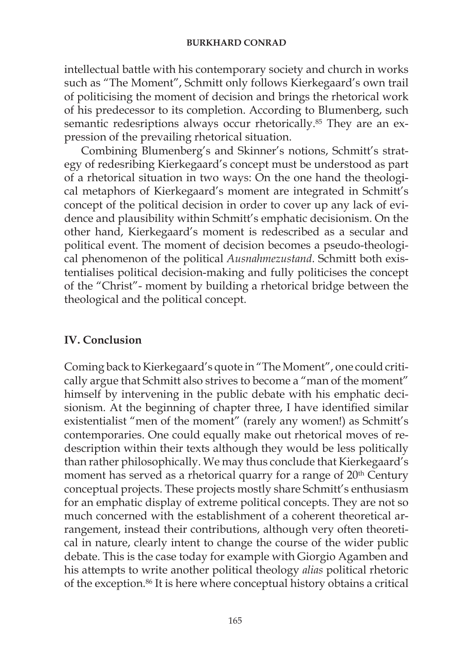intellectual battle with his contemporary society and church in works such as "The Moment", Schmitt only follows Kierkegaard's own trail of politicising the moment of decision and brings the rhetorical work of his predecessor to its completion. According to Blumenberg, such semantic redesriptions always occur rhetorically.<sup>85</sup> They are an expression of the prevailing rhetorical situation.

Combining Blumenberg's and Skinner's notions, Schmitt's strategy of redesribing Kierkegaard's concept must be understood as part of a rhetorical situation in two ways: On the one hand the theological metaphors of Kierkegaard's moment are integrated in Schmitt's concept of the political decision in order to cover up any lack of evidence and plausibility within Schmitt's emphatic decisionism. On the other hand, Kierkegaard's moment is redescribed as a secular and political event. The moment of decision becomes a pseudo-theological phenomenon of the political *Ausnahmezustand*. Schmitt both existentialises political decision-making and fully politicises the concept of the "Christ"- moment by building a rhetorical bridge between the theological and the political concept.

## **IV. Conclusion**

Coming back to Kierkegaard's quote in "The Moment", one could critically argue that Schmitt also strives to become a "man of the moment" himself by intervening in the public debate with his emphatic decisionism. At the beginning of chapter three, I have identified similar existentialist "men of the moment" (rarely any women!) as Schmitt's contemporaries. One could equally make out rhetorical moves of redescription within their texts although they would be less politically than rather philosophically. We may thus conclude that Kierkegaard's moment has served as a rhetorical quarry for a range of 20<sup>th</sup> Century conceptual projects. These projects mostly share Schmitt's enthusiasm for an emphatic display of extreme political concepts. They are not so much concerned with the establishment of a coherent theoretical arrangement, instead their contributions, although very often theoretical in nature, clearly intent to change the course of the wider public debate. This is the case today for example with Giorgio Agamben and his attempts to write another political theology *alias* political rhetoric of the exception.86 It is here where conceptual history obtains a critical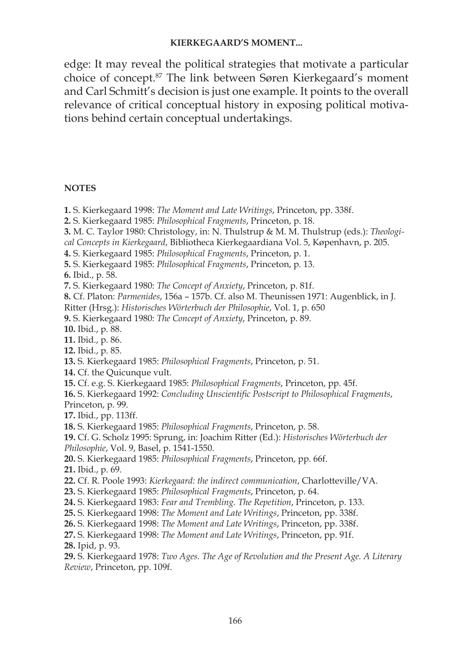edge: It may reveal the political strategies that motivate a particular choice of concept.87 The link between Søren Kierkegaard's moment and Carl Schmitt's decision is just one example. It points to the overall relevance of critical conceptual history in exposing political motivations behind certain conceptual undertakings.

## **NOTES**

- **1.** S. Kierkegaard 1998: *The Moment and Late Writings*, Princeton, pp. 338f.
- **2.** S. Kierkegaard 1985: *Philosophical Fragments*, Princeton, p. 18.
- **3.** M. C. Taylor 1980: Christology, in: N. Thulstrup & M. M. Thulstrup (eds.): *Theologi-*
- *cal Concepts in Kierkegaard*, Bibliotheca Kierkegaardiana Vol. 5, Køpenhavn, p. 205.
- **4.** S. Kierkegaard 1985: *Philosophical Fragments*, Princeton, p. 1. **5.** S. Kierkegaard 1985: *Philosophical Fragments*, Princeton, p. 13.
- **6.** Ibid., p. 58.

**7.** S. Kierkegaard 1980: *The Concept of Anxiety*, Princeton, p. 81f.

**8.** Cf. Platon: *Parmenides*, 156a – 157b. Cf. also M. Theunissen 1971: Augenblick, in J.

- Ritter (Hrsg.): *Historisches Wörterbuch der Philosophie*, Vol. 1, p. 650
- **9.** S. Kierkegaard 1980: *The Concept of Anxiety*, Princeton, p. 89.
- **10.** Ibid., p. 88.
- **11.** Ibid., p. 86.
- **12.** Ibid., p. 85.
- **13.** S. Kierkegaard 1985: *Philosophical Fragments*, Princeton, p. 51.
- **14.** Cf. the Quicunque vult.
- **15.** Cf. e.g. S. Kierkegaard 1985: *Philosophical Fragments*, Princeton, pp. 45f.
- **16.** S. Kierkegaard 1992: *Concluding Unscientific Postscript to Philosophical Fragments*, Princeton, p. 99.
- **17.** Ibid., pp. 113ff.
- **18.** S. Kierkegaard 1985: *Philosophical Fragments*, Princeton, p. 58.
- **19.** Cf. G. Scholz 1995: Sprung, in: Joachim Ritter (Ed.): *Historisches Wörterbuch der Philosophie*, Vol. 9, Basel, p. 1541-1550.
- **20.** S. Kierkegaard 1985: *Philosophical Fragments*, Princeton, pp. 66f.
- **21.** Ibid., p. 69.
- **22.** Cf. R. Poole 1993: *Kierkegaard: the indirect communication*, Charlotteville/VA.
- **23.** S. Kierkegaard 1985: *Philosophical Fragments*, Princeton, p. 64.
- **24.** S. Kierkegaard 1983: *Fear and Trembling. The Repetition*, Princeton, p. 133.
- **25.** S. Kierkegaard 1998: *The Moment and Late Writings*, Princeton, pp. 338f.
- **26.** S. Kierkegaard 1998: *The Moment and Late Writings*, Princeton, pp. 338f.
- **27.** S. Kierkegaard 1998: *The Moment and Late Writings*, Princeton, pp. 91f. **28.** Ipid, p. 93.
- **29.** S. Kierkegaard 1978: *Two Ages. The Age of Revolution and the Present Age. A Literary Review*, Princeton, pp. 109f.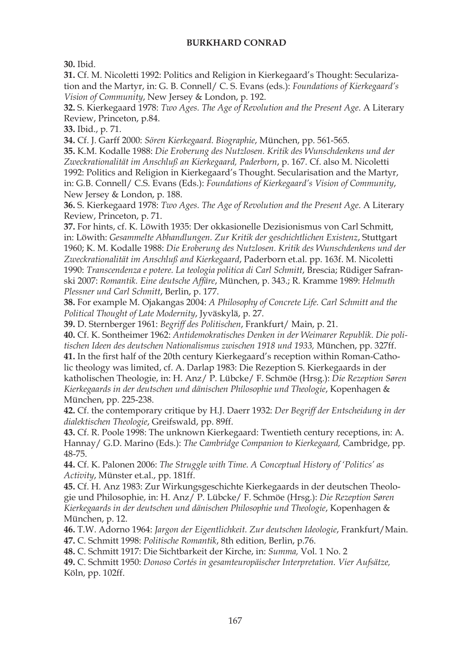**30.** Ibid.

**31.** Cf. M. Nicoletti 1992: Politics and Religion in Kierkegaard's Thought: Secularization and the Martyr, in: G. B. Connell/ C. S. Evans (eds.): *Foundations of Kierkegaard's Vision of Community*, New Jersey & London, p. 192.

**32.** S. Kierkegaard 1978: *Two Ages. The Age of Revolution and the Present Age*. A Literary Review, Princeton, p.84.

**33.** Ibid., p. 71.

**34.** Cf. J. Garff 2000: *Sören Kierkegaard. Biographie*, München, pp. 561-565.

**35.** K.M. Kodalle 1988: *Die Eroberung des Nutzlosen. Kritik des Wunschdenkens und der Zweckrationalität im Anschluß an Kierkegaard, Paderborn*, p. 167. Cf. also M. Nicoletti 1992: Politics and Religion in Kierkegaard's Thought. Secularisation and the Martyr, in: G.B. Connell/ C.S. Evans (Eds.): *Foundations of Kierkegaard's Vision of Community*, New Jersey & London, p. 188.

**36.** S. Kierkegaard 1978: *Two Ages. The Age of Revolution and the Present Age*. A Literary Review, Princeton, p. 71.

**37.** For hints, cf. K. Löwith 1935: Der okkasionelle Dezisionismus von Carl Schmitt, in: Löwith: *Gesammelte Abhandlungen. Zur Kritik der geschichtlichen Existenz*, Stuttgart 1960; K. M. Kodalle 1988: *Die Eroberung des Nutzlosen. Kritik des Wunschdenkens und der Zweckrationalität im Anschluß and Kierkegaard*, Paderborn et.al. pp. 163f. M. Nicoletti 1990: *Transcendenza e potere. La teologia politica di Carl Schmitt*, Brescia; Rüdiger Safranski 2007: *Romantik. Eine deutsche Affäre*, München, p. 343.; R. Kramme 1989: *Helmuth Plessner und Carl Schmitt*, Berlin, p. 177.

**38.** For example M. Ojakangas 2004: *A Philosophy of Concrete Life. Carl Schmitt and the Political Thought of Late Modernity*, Jyväskylä, p. 27.

**39.** D. Sternberger 1961: *Begriff des Politischen*, Frankfurt/ Main, p. 21.

**40.** Cf. K. Sontheimer 1962: *Antidemokratisches Denken in der Weimarer Republik. Die politischen Ideen des deutschen Nationalismus zwischen 1918 und 1933,* München, pp. 327ff.

**41.** In the first half of the 20th century Kierkegaard's reception within Roman-Catholic theology was limited, cf. A. Darlap 1983: Die Rezeption S. Kierkegaards in der katholischen Theologie, in: H. Anz/ P. Lübcke/ F. Schmöe (Hrsg.): *Die Rezeption Søren Kierkegaards in der deutschen und dänischen Philosophie und Theologie*, Kopenhagen & München, pp. 225-238.

**42.** Cf. the contemporary critique by H.J. Daerr 1932: *Der Begriff der Entscheidung in der dialektischen Theologie*, Greifswald, pp. 89ff.

**43.** Cf. R. Poole 1998: The unknown Kierkegaard: Twentieth century receptions, in: A. Hannay/ G.D. Marino (Eds.): *The Cambridge Companion to Kierkegaard,* Cambridge, pp. 48-75.

**44.** Cf. K. Palonen 2006: *The Struggle with Time. A Conceptual History of 'Politics' as Activity*, Münster et.al., pp. 181ff.

**45.** Cf. H. Anz 1983: Zur Wirkungsgeschichte Kierkegaards in der deutschen Theologie und Philosophie, in: H. Anz/ P. Lübcke/ F. Schmöe (Hrsg.): *Die Rezeption Søren Kierkegaards in der deutschen und dänischen Philosophie und Theologie*, Kopenhagen & München, p. 12.

**46.** T.W. Adorno 1964: *Jargon der Eigentlichkeit. Zur deutschen Ideologie*, Frankfurt/Main. **47.** C. Schmitt 1998: *Politische Romantik*, 8th edition, Berlin, p.76.

**48.** C. Schmitt 1917: Die Sichtbarkeit der Kirche, in: *Summa,* Vol. 1 No. 2

**49.** C. Schmitt 1950: *Donoso Cortés in gesamteuropäischer Interpretation. Vier Aufsätze,* Köln, pp. 102ff.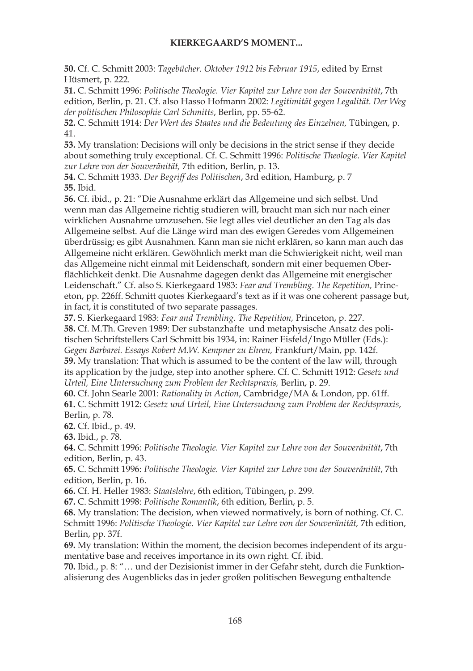### **KIERKEGAARD'S MOMENT...**

**50.** Cf. C. Schmitt 2003: *Tagebücher. Oktober 1912 bis Februar 1915*, edited by Ernst Hüsmert, p. 222.

**51.** C. Schmitt 1996: *Politische Theologie. Vier Kapitel zur Lehre von der Souveränität*, 7th edition, Berlin, p. 21. Cf. also Hasso Hofmann 2002: *Legitimität gegen Legalität. Der Weg der politischen Philosophie Carl Schmitts*, Berlin, pp. 55-62.

**52.** C. Schmitt 1914: *Der Wert des Staates und die Bedeutung des Einzelnen,* Tübingen, p. 41.

**53.** My translation: Decisions will only be decisions in the strict sense if they decide about something truly exceptional. Cf. C. Schmitt 1996: *Politische Theologie. Vier Kapitel zur Lehre von der Souveränität,* 7th edition, Berlin, p. 13.

**54.** C. Schmitt 1933. *Der Begriff des Politischen*, 3rd edition, Hamburg, p. 7 **55.** Ibid.

**56.** Cf. ibid., p. 21: "Die Ausnahme erklärt das Allgemeine und sich selbst. Und wenn man das Allgemeine richtig studieren will, braucht man sich nur nach einer wirklichen Ausnahme umzusehen. Sie legt alles viel deutlicher an den Tag als das Allgemeine selbst. Auf die Länge wird man des ewigen Geredes vom Allgemeinen überdrüssig; es gibt Ausnahmen. Kann man sie nicht erklären, so kann man auch das Allgemeine nicht erklären. Gewöhnlich merkt man die Schwierigkeit nicht, weil man das Allgemeine nicht einmal mit Leidenschaft, sondern mit einer bequemen Oberflächlichkeit denkt. Die Ausnahme dagegen denkt das Allgemeine mit energischer Leidenschaft." Cf. also S. Kierkegaard 1983: *Fear and Trembling. The Repetition,* Princeton, pp. 226ff. Schmitt quotes Kierkegaard's text as if it was one coherent passage but, in fact, it is constituted of two separate passages.

**57.** S. Kierkegaard 1983: *Fear and Trembling. The Repetition,* Princeton, p. 227.

**58.** Cf. M.Th. Greven 1989: Der substanzhafte und metaphysische Ansatz des politischen Schriftstellers Carl Schmitt bis 1934, in: Rainer Eisfeld/Ingo Müller (Eds.): *Gegen Barbarei. Essays Robert M.W. Kempner zu Ehren,* Frankfurt/Main, pp. 142f. **59.** My translation: That which is assumed to be the content of the law will, through its application by the judge, step into another sphere. Cf. C. Schmitt 1912: *Gesetz und Urteil, Eine Untersuchung zum Problem der Rechtspraxis,* Berlin, p. 29.

**60.** Cf. John Searle 2001: *Rationality in Action*, Cambridge/MA & London, pp. 61ff. **61.** C. Schmitt 1912: *Gesetz und Urteil, Eine Untersuchung zum Problem der Rechtspraxis*, Berlin, p. 78.

**62.** Cf. Ibid., p. 49.

**63.** Ibid., p. 78.

**64.** C. Schmitt 1996: *Politische Theologie. Vier Kapitel zur Lehre von der Souveränität*, 7th edition, Berlin, p. 43.

**65.** C. Schmitt 1996: *Politische Theologie. Vier Kapitel zur Lehre von der Souveränität*, 7th edition, Berlin, p. 16.

**66.** Cf. H. Heller 1983: *Staatslehre*, 6th edition, Tübingen, p. 299.

**67.** C. Schmitt 1998: *Politische Romantik*, 6th edition, Berlin, p. 5.

**68.** My translation: The decision, when viewed normatively, is born of nothing. Cf. C. Schmitt 1996: *Politische Theologie. Vier Kapitel zur Lehre von der Souveränität,* 7th edition, Berlin, pp. 37f.

**69.** My translation: Within the moment, the decision becomes independent of its argumentative base and receives importance in its own right. Cf. ibid.

**70.** Ibid., p. 8: "… und der Dezisionist immer in der Gefahr steht, durch die Funktionalisierung des Augenblicks das in jeder großen politischen Bewegung enthaltende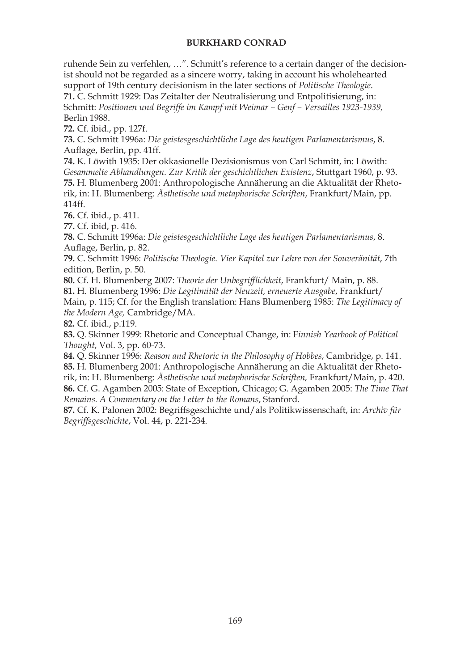ruhende Sein zu verfehlen, …". Schmitt's reference to a certain danger of the decisionist should not be regarded as a sincere worry, taking in account his wholehearted support of 19th century decisionism in the later sections of *Politische Theologie*. **71.** C. Schmitt 1929: Das Zeitalter der Neutralisierung und Entpolitisierung, in:

Schmitt: *Positionen und Begriffe im Kampf mit Weimar – Genf – Versailles 1923-1939,* Berlin 1988.

**72.** Cf. ibid., pp. 127f.

**73.** C. Schmitt 1996a: *Die geistesgeschichtliche Lage des heutigen Parlamentarismus*, 8. Auflage, Berlin, pp. 41ff.

**74.** K. Löwith 1935: Der okkasionelle Dezisionismus von Carl Schmitt, in: Löwith: *Gesammelte Abhandlungen. Zur Kritik der geschichtlichen Existenz*, Stuttgart 1960, p. 93. **75.** H. Blumenberg 2001: Anthropologische Annäherung an die Aktualität der Rhetorik, in: H. Blumenberg: *Ästhetische und metaphorische Schriften*, Frankfurt/Main, pp. 414ff.

**76.** Cf. ibid., p. 411.

**77.** Cf. ibid, p. 416.

**78.** C. Schmitt 1996a: *Die geistesgeschichtliche Lage des heutigen Parlamentarismus*, 8. Auflage, Berlin, p. 82.

**79.** C. Schmitt 1996: *Politische Theologie. Vier Kapitel zur Lehre von der Souveränität*, 7th edition, Berlin, p. 50.

**80.** Cf. H. Blumenberg 2007: *Theorie der Unbegrifflichkeit*, Frankfurt/ Main, p. 88. **81.** H. Blumenberg 1996: *Die Legitimität der Neuzeit, erneuerte Ausgabe*, Frankfurt/ Main, p. 115; Cf. for the English translation: Hans Blumenberg 1985: *The Legitimacy of the Modern Age,* Cambridge/MA.

**82.** Cf. ibid., p.119.

**83.** Q. Skinner 1999: Rhetoric and Conceptual Change, in: F*innish Yearbook of Political Thought*, Vol. 3, pp. 60-73.

**84.** Q. Skinner 1996: *Reason and Rhetoric in the Philosophy of Hobbes*, Cambridge, p. 141. **85.** H. Blumenberg 2001: Anthropologische Annäherung an die Aktualität der Rhetorik, in: H. Blumenberg: *Ästhetische und metaphorische Schriften,* Frankfurt/Main, p. 420. **86.** Cf. G. Agamben 2005: State of Exception, Chicago; G. Agamben 2005: *The Time That Remains. A Commentary on the Letter to the Romans*, Stanford.

**87.** Cf. K. Palonen 2002: Begriffsgeschichte und/als Politikwissenschaft, in: *Archiv für Begriffsgeschichte*, Vol. 44, p. 221-234.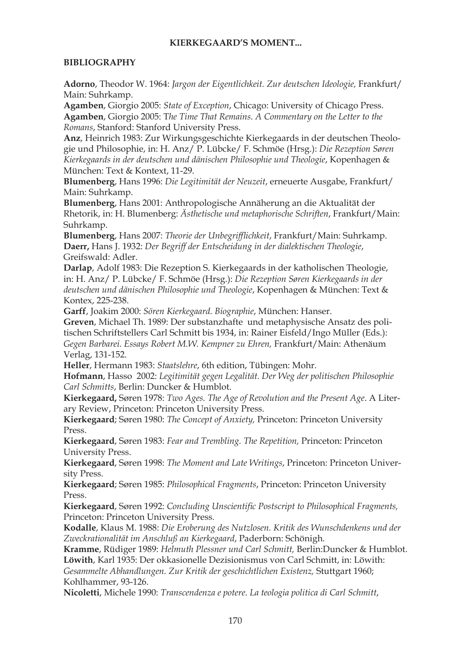### **KIERKEGAARD'S MOMENT...**

### **BIBLIOGRAPHY**

**Adorno**, Theodor W. 1964: *Jargon der Eigentlichkeit. Zur deutschen Ideologie,* Frankfurt/ Main: Suhrkamp.

**Agamben**, Giorgio 2005: *State of Exception*, Chicago: University of Chicago Press. **Agamben**, Giorgio 2005: T*he Time That Remains. A Commentary on the Letter to the Romans*, Stanford: Stanford University Press.

**Anz**, Heinrich 1983: Zur Wirkungsgeschichte Kierkegaards in der deutschen Theologie und Philosophie, in: H. Anz/ P. Lübcke/ F. Schmöe (Hrsg.): *Die Rezeption Søren Kierkegaards in der deutschen und dänischen Philosophie und Theologie*, Kopenhagen & München: Text & Kontext, 11-29.

**Blumenberg**, Hans 1996: *Die Legitimität der Neuzeit*, erneuerte Ausgabe, Frankfurt/ Main: Suhrkamp.

**Blumenberg**, Hans 2001: Anthropologische Annäherung an die Aktualität der Rhetorik, in: H. Blumenberg: *Ästhetische und metaphorische Schriften*, Frankfurt/Main: Suhrkamp.

**Blumenberg**, Hans 2007: *Theorie der Unbegrifflichkeit*, Frankfurt/Main: Suhrkamp. **Daerr,** Hans J. 1932: *Der Begriff der Entscheidung in der dialektischen Theologie*, Greifswald: Adler.

**Darlap**, Adolf 1983: Die Rezeption S. Kierkegaards in der katholischen Theologie, in: H. Anz/ P. Lübcke/ F. Schmöe (Hrsg.): *Die Rezeption Søren Kierkegaards in der deutschen und dänischen Philosophie und Theologie*, Kopenhagen & München: Text & Kontex, 225-238.

**Garff**, Joakim 2000: *Sören Kierkegaard. Biographie*, München: Hanser.

**Greven**, Michael Th. 1989: Der substanzhafte und metaphysische Ansatz des politischen Schriftstellers Carl Schmitt bis 1934, in: Rainer Eisfeld/Ingo Müller (Eds.): *Gegen Barbarei. Essays Robert M.W. Kempner zu Ehren,* Frankfurt/Main: Athenäum Verlag, 131-152.

**Heller**, Hermann 1983: *Staatslehre*, 6th edition, Tübingen: Mohr.

**Hofmann**, Hasso 2002: *Legitimität gegen Legalität. Der Weg der politischen Philosophie Carl Schmitts*, Berlin: Duncker & Humblot.

**Kierkegaard,** Søren 1978: *Two Ages. The Age of Revolution and the Present Age*. A Literary Review, Princeton: Princeton University Press.

**Kierkegaard**; Søren 1980: *The Concept of Anxiety,* Princeton: Princeton University Press.

**Kierkegaard**, Søren 1983: *Fear and Trembling. The Repetition,* Princeton: Princeton University Press.

**Kierkegaard**, Søren 1998: *The Moment and Late Writings*, Princeton: Princeton University Press.

**Kierkegaard**; Søren 1985: *Philosophical Fragments*, Princeton: Princeton University Press.

**Kierkegaard**, Søren 1992: *Concluding Unscientific Postscript to Philosophical Fragments,* Princeton: Princeton University Press.

**Kodalle**, Klaus M. 1988: *Die Eroberung des Nutzlosen. Kritik des Wunschdenkens und der Zweckrationalität im Anschluß an Kierkegaard*, Paderborn: Schönigh.

**Kramme**, Rüdiger 1989: *Helmuth Plessner und Carl Schmitt,* Berlin:Duncker & Humblot. **Löwith**, Karl 1935: Der okkasionelle Dezisionismus von Carl Schmitt, in: Löwith:

*Gesammelte Abhandlungen. Zur Kritik der geschichtlichen Existenz,* Stuttgart 1960; Kohlhammer, 93-126.

**Nicoletti**, Michele 1990: *Transcendenza e potere. La teologia politica di Carl Schmitt*,